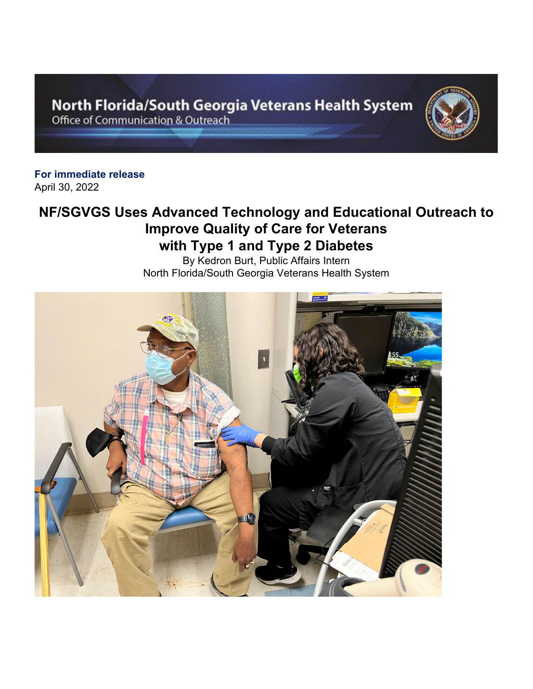North Florida/South Georgia Veterans Health System Office of Communication & Outreach



**For immediate release** April 30, 2022

## **NF/SGVGS Uses Advanced Technology and Educational Outreach to Improve Quality of Care for Veterans with Type 1 and Type 2 Diabetes**

By Kedron Burt, Public Affairs Intern North Florida/South Georgia Veterans Health System

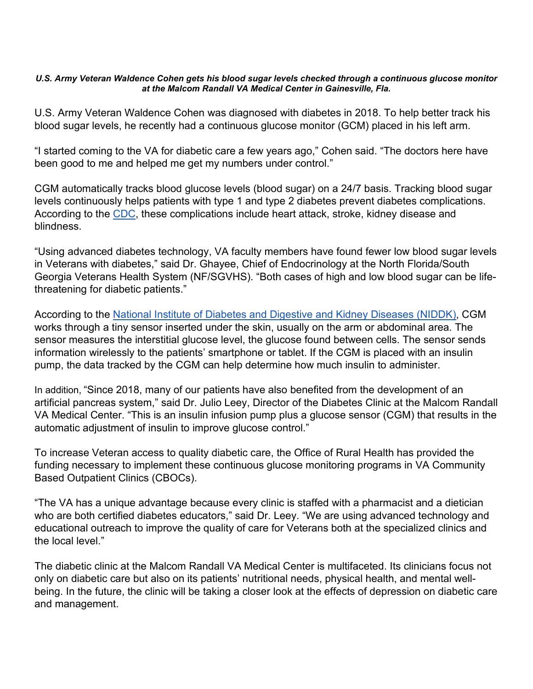## *U.S. Army Veteran Waldence Cohen gets his blood sugar levels checked through a continuous glucose monitor at the Malcom Randall VA Medical Center in Gainesville, Fla.*

U.S. Army Veteran Waldence Cohen was diagnosed with diabetes in 2018. To help better track his blood sugar levels, he recently had a continuous glucose monitor (GCM) placed in his left arm.

"I started coming to the VA for diabetic care a few years ago," Cohen said. "The doctors here have been good to me and helped me get my numbers under control."

CGM automatically tracks blood glucose levels (blood sugar) on a 24/7 basis. Tracking blood sugar levels continuously helps patients with type 1 and type 2 diabetes prevent diabetes complications. According to the [CDC,](https://gcc02.safelinks.protection.outlook.com/?url=https%3A%2F%2Fwww.cdc.gov%2Fdiabetes%2Fmanaging%2Fmanaging-blood-sugar%2Fbloodglucosemonitoring.html&data=05%7C01%7C%7Cb7a1d32a8e654ef0024808da285dd3e5%7Ce95f1b23abaf45ee821db7ab251ab3bf%7C0%7C0%7C637866680700678584%7CUnknown%7CTWFpbGZsb3d8eyJWIjoiMC4wLjAwMDAiLCJQIjoiV2luMzIiLCJBTiI6Ik1haWwiLCJXVCI6Mn0%3D%7C3000%7C%7C%7C&sdata=k2Yi0IwJ%2Br0eg2OMADb1qvUcjvbiX9seTESlt11IdfE%3D&reserved=0) these complications include heart attack, stroke, kidney disease and blindness.

"Using advanced diabetes technology, VA faculty members have found fewer low blood sugar levels in Veterans with diabetes," said Dr. Ghayee, Chief of Endocrinology at the North Florida/South Georgia Veterans Health System (NF/SGVHS). "Both cases of high and low blood sugar can be lifethreatening for diabetic patients."

According to the [National Institute of Diabetes and Digestive and Kidney Diseases \(NIDDK\),](https://gcc02.safelinks.protection.outlook.com/?url=https%3A%2F%2Fwww.niddk.nih.gov%2Fhealth-information%2Fdiabetes%2Foverview%2Fmanaging-diabetes%2Fcontinuous-glucose-monitoring%23%3A%7E%3Atext%3DA%2520CGM%2520works%2520through%2520a%2Cthe%2520information%2520to%2520a%2520monitor.&data=05%7C01%7C%7Cb7a1d32a8e654ef0024808da285dd3e5%7Ce95f1b23abaf45ee821db7ab251ab3bf%7C0%7C0%7C637866680700678584%7CUnknown%7CTWFpbGZsb3d8eyJWIjoiMC4wLjAwMDAiLCJQIjoiV2luMzIiLCJBTiI6Ik1haWwiLCJXVCI6Mn0%3D%7C3000%7C%7C%7C&sdata=pmhHhrK7KRyWBfm%2FhDY1qcHu%2BJo%2FQA99q9nDydwC5eg%3D&reserved=0) CGM works through a tiny sensor inserted under the skin, usually on the arm or abdominal area. The sensor measures the interstitial glucose level, the glucose found between cells. The sensor sends information wirelessly to the patients' smartphone or tablet. If the CGM is placed with an insulin pump, the data tracked by the CGM can help determine how much insulin to administer.

In addition, "Since 2018, many of our patients have also benefited from the development of an artificial pancreas system," said Dr. Julio Leey, Director of the Diabetes Clinic at the Malcom Randall VA Medical Center. "This is an insulin infusion pump plus a glucose sensor (CGM) that results in the automatic adjustment of insulin to improve glucose control."

To increase Veteran access to quality diabetic care, the Office of Rural Health has provided the funding necessary to implement these continuous glucose monitoring programs in VA Community Based Outpatient Clinics (CBOCs).

"The VA has a unique advantage because every clinic is staffed with a pharmacist and a dietician who are both certified diabetes educators," said Dr. Leey. "We are using advanced technology and educational outreach to improve the quality of care for Veterans both at the specialized clinics and the local level."

The diabetic clinic at the Malcom Randall VA Medical Center is multifaceted. Its clinicians focus not only on diabetic care but also on its patients' nutritional needs, physical health, and mental wellbeing. In the future, the clinic will be taking a closer look at the effects of depression on diabetic care and management.